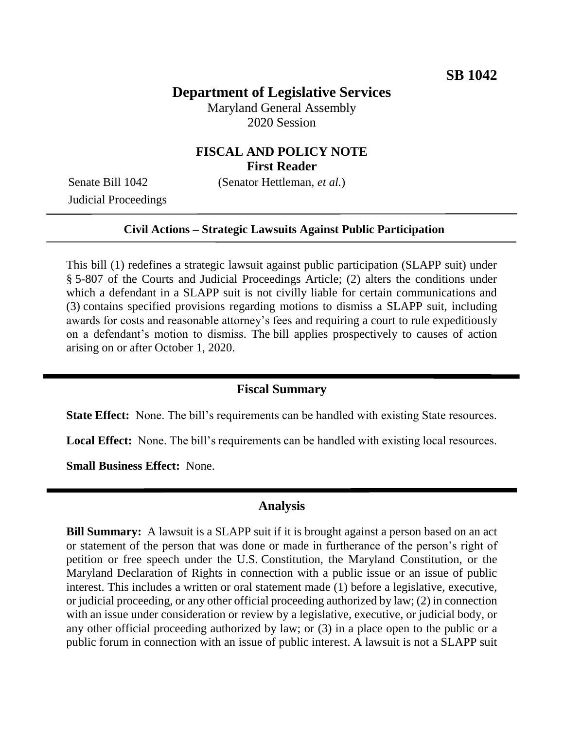### **Department of Legislative Services**

Maryland General Assembly 2020 Session

# **FISCAL AND POLICY NOTE First Reader**

Senate Bill 1042 (Senator Hettleman, *et al.*)

Judicial Proceedings

#### **Civil Actions – Strategic Lawsuits Against Public Participation**

This bill (1) redefines a strategic lawsuit against public participation (SLAPP suit) under § 5-807 of the Courts and Judicial Proceedings Article; (2) alters the conditions under which a defendant in a SLAPP suit is not civilly liable for certain communications and (3) contains specified provisions regarding motions to dismiss a SLAPP suit, including awards for costs and reasonable attorney's fees and requiring a court to rule expeditiously on a defendant's motion to dismiss. The bill applies prospectively to causes of action arising on or after October 1, 2020.

### **Fiscal Summary**

**State Effect:** None. The bill's requirements can be handled with existing State resources.

**Local Effect:** None. The bill's requirements can be handled with existing local resources.

**Small Business Effect:** None.

### **Analysis**

**Bill Summary:** A lawsuit is a SLAPP suit if it is brought against a person based on an act or statement of the person that was done or made in furtherance of the person's right of petition or free speech under the U.S. Constitution, the Maryland Constitution, or the Maryland Declaration of Rights in connection with a public issue or an issue of public interest. This includes a written or oral statement made (1) before a legislative, executive, or judicial proceeding, or any other official proceeding authorized by law; (2) in connection with an issue under consideration or review by a legislative, executive, or judicial body, or any other official proceeding authorized by law; or (3) in a place open to the public or a public forum in connection with an issue of public interest. A lawsuit is not a SLAPP suit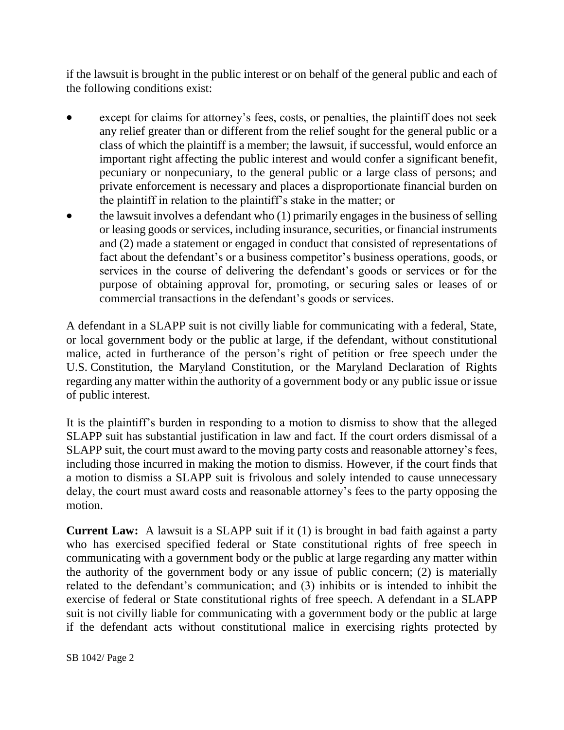if the lawsuit is brought in the public interest or on behalf of the general public and each of the following conditions exist:

- except for claims for attorney's fees, costs, or penalties, the plaintiff does not seek any relief greater than or different from the relief sought for the general public or a class of which the plaintiff is a member; the lawsuit, if successful, would enforce an important right affecting the public interest and would confer a significant benefit, pecuniary or nonpecuniary, to the general public or a large class of persons; and private enforcement is necessary and places a disproportionate financial burden on the plaintiff in relation to the plaintiff's stake in the matter; or
- the lawsuit involves a defendant who (1) primarily engages in the business of selling or leasing goods or services, including insurance, securities, or financial instruments and (2) made a statement or engaged in conduct that consisted of representations of fact about the defendant's or a business competitor's business operations, goods, or services in the course of delivering the defendant's goods or services or for the purpose of obtaining approval for, promoting, or securing sales or leases of or commercial transactions in the defendant's goods or services.

A defendant in a SLAPP suit is not civilly liable for communicating with a federal, State, or local government body or the public at large, if the defendant, without constitutional malice, acted in furtherance of the person's right of petition or free speech under the U.S. Constitution, the Maryland Constitution, or the Maryland Declaration of Rights regarding any matter within the authority of a government body or any public issue or issue of public interest.

It is the plaintiff's burden in responding to a motion to dismiss to show that the alleged SLAPP suit has substantial justification in law and fact. If the court orders dismissal of a SLAPP suit, the court must award to the moving party costs and reasonable attorney's fees, including those incurred in making the motion to dismiss. However, if the court finds that a motion to dismiss a SLAPP suit is frivolous and solely intended to cause unnecessary delay, the court must award costs and reasonable attorney's fees to the party opposing the motion.

**Current Law:** A lawsuit is a SLAPP suit if it (1) is brought in bad faith against a party who has exercised specified federal or State constitutional rights of free speech in communicating with a government body or the public at large regarding any matter within the authority of the government body or any issue of public concern; (2) is materially related to the defendant's communication; and (3) inhibits or is intended to inhibit the exercise of federal or State constitutional rights of free speech. A defendant in a SLAPP suit is not civilly liable for communicating with a government body or the public at large if the defendant acts without constitutional malice in exercising rights protected by